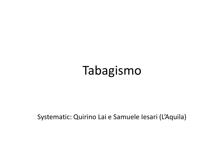## Tabagismo

Systematic: Quirino Lai e Samuele Iesari (L'Aquila)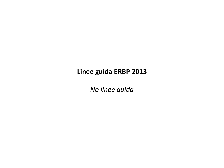## **Linee guida ERBP 2013**

*No linee guida*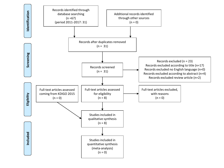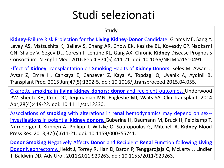## Studi selezionati

Study

**Kidney**-Failure Risk Projection for the **Living Kidney**-**Donor** [Candidate.](https://www.ncbi.nlm.nih.gov/pubmed/26544982) Grams ME, Sang Y, Levey AS, Matsushita K, Ballew S, Chang AR, Chow EK, Kasiske BL, Kovesdy CP, Nadkarni GN, Shalev V, Segev DL, Coresh J, Lentine KL, Garg AX; Chronic **Kidney** Disease Prognosis Consortium. N Engl J Med. 2016 Feb 4;374(5):411-21. doi: 10.1056/NEJMoa1510491.

Effect of **Kidney** [Transplantation](https://www.ncbi.nlm.nih.gov/pubmed/26093704) on **Smoking** Habits of **Kidney Donors**. Keles M, Avsar U, Avsar Z, Emre H, Cankaya E, Cansever Z, Kaya A, Topdagi O, Uyanik A, Aydinli B. Transplant Proc. 2015 Jun;47(5):1302-5. doi: 10.1016/j.transproceed.2015.04.055.

Cigarette **smoking** in **living kidney donors**: **donor** and recipient [outcomes.](https://www.ncbi.nlm.nih.gov/pubmed/24617506) Underwood PW, Sheetz KH, Cron DC, Terjimanian MN, Englesbe MJ, Waits SA. Clin Transplant. 2014 Apr;28(4):419-22. doi: 10.1111/ctr.12330.

Associations of **smoking** with alterations in **renal** [hemodynamics](https://www.ncbi.nlm.nih.gov/pubmed/24356551) may depend on sex- [investigations](https://www.ncbi.nlm.nih.gov/pubmed/24356551) in potential **kidney donors**. Guberina H, Baumann M, Bruck H, Feldkamp T, Nürnberger J, Kribben A, Philipp T, Witzke O, Sotiropoulos G, Mitchell A. **Kidney** Blood Press Res. 2013;37(6):611-21. doi: 10.1159/000355741.

**Donor Smoking** [Negatively](https://www.ncbi.nlm.nih.gov/pubmed/21912540) Affects **Donor** and Recipient **Renal** Function following **Living Donor** [Nephrectomy.](https://www.ncbi.nlm.nih.gov/pubmed/21912540) Heldt J, Torrey R, Han D, Baron P, Tenggardjaja C, McLarty J, Lindler T, Baldwin DD. Adv Urol. 2011;2011:929263. doi: 10.1155/2011/929263.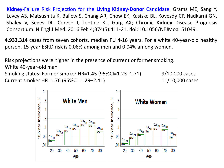**Kidney**-Failure Risk Projection for the **Living Kidney**-**Donor** [Candidate.](https://www.ncbi.nlm.nih.gov/pubmed/26544982) Grams ME, Sang Y, Levey AS, Matsushita K, Ballew S, Chang AR, Chow EK, Kasiske BL, Kovesdy CP, Nadkarni GN, Shalev V, Segev DL, Coresh J, Lentine KL, Garg AX; Chronic **Kidney** Disease Prognosis Consortium. N Engl J Med. 2016 Feb 4;374(5):411-21. doi: 10.1056/NEJMoa1510491.

**4,933,314** cases from seven cohorts, median FU 4-16 years. For a white 40-year-old healthy person, 15-year ESRD risk is 0.06% among men and 0.04% among women.

Risk projections were higher in the presence of current or former smoking.

White 40-year-old man

Smoking status: Former smoker HR=1.45 (95%CI=1.23–1.71) 9/10,000 cases Current smoker HR=1.76 (95%CI=1.29–2.41) 11/10,000 cases

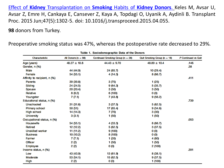Effect of **Kidney** [Transplantation](https://www.ncbi.nlm.nih.gov/pubmed/26093704) on **Smoking** Habits of **Kidney Donors**. Keles M, Avsar U, Avsar Z, Emre H, Cankaya E, Cansever Z, Kaya A, Topdagi O, Uyanik A, Aydinli B. Transplant Proc. 2015 Jun;47(5):1302-5. doi: 10.1016/j.transproceed.2015.04.055.

**98** donors from Turkey.

Preoperative smoking status was 47%, whereas the postoperative rate decreased to 29%.

| Characteristic               | All Donors ( $n = 98$ ) | Continued Smoking Group (n = 28) | Quit Smoking Group ( $n = 18$ ) | P Continued vs Quit |
|------------------------------|-------------------------|----------------------------------|---------------------------------|---------------------|
| Age (years)                  | $48.27 \pm 10.8$        | $44.43 \pm 9.70$                 | $48.89 \pm 10.4$                | .146                |
| Gender, n (%)                |                         |                                  |                                 | .38                 |
| Male                         | 44 (44.9)               | 24 (85.7)                        | 10 (29.4)                       |                     |
| Female                       | 54 (55.1)               | 4 (14.3)                         | 8(66.7)                         |                     |
| Affinity to recipient, n (%) |                         |                                  |                                 | .411                |
| Parents                      | 39 (39.8)               | 3 (75)                           | 1 (25)                          |                     |
| Sibling                      | 24 (24.5)               | 9(64.3)                          | 5 (35.7)                        |                     |
| Spouse                       | 20 (20.4)               | 3 (50)                           | 3 (50)                          |                     |
| Relative                     | 8(8.2)                  | 6 (100)                          | 0 (0)                           |                     |
| Youngster                    | 7(7.1)                  | 7 (43.8)                         | 9(56.2)                         |                     |
| Educational status, n (%)    |                         |                                  |                                 | .739                |
| <b>Unschooled</b>            | 31 (31.6)               | 3(37.5)                          | 5(62.5)                         |                     |
| Primary school               | 50 (51)                 | 17 (65.4)                        | 9(34.6)                         |                     |
| <b>High school</b>           | 14 (14.3)               | 7 (70)                           | 3 (30)                          |                     |
| <b>University</b>            | 3(3.1)                  | 1 (50)                           | 1 (50)                          |                     |
| Occupational status, n (%)   |                         |                                  |                                 | .053                |
| Housewife                    | 54 (55.1)               | 4 (33.3)                         | 8(66.7)                         |                     |
| Retired                      | 12 (12.2)               | 5(62.5)                          | 3(37.5)                         |                     |
| <b>Unskilled worker</b>      | 11 (11.2)               | 9 (100)                          | 0 (0)                           |                     |
| <b>Business</b>              | 10 (10.2)               | 8 (100)                          | 0 (0)                           |                     |
| Farmer                       | 7(7.1)                  | 1 (20)                           | 4 (80)                          |                     |
| <b>Officer</b>               | 2 (2)                   | 1 (50)                           | 1 (50)                          |                     |
| Employee                     | 2 (2)                   | 0 (0)                            | 2 (100)                         |                     |
| Income status, n (%)         |                         |                                  |                                 | .391                |
| Low                          | 43 (43.9)               | 13 (61.9)                        | 8(38.1)                         |                     |
| Moderate                     | 53 (54.1)               | 15 (62.5)                        | 9(37.5)                         |                     |
| High                         | 2(2)                    | 0 (0)                            | 1 (100)                         |                     |

Table 1. Sociodemographic Data of the Donors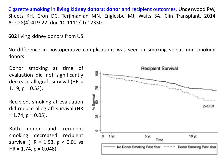Cigarette **smoking** in **living kidney donors**: **donor** and recipient [outcomes.](https://www.ncbi.nlm.nih.gov/pubmed/24617506) Underwood PW, Sheetz KH, Cron DC, Terjimanian MN, Englesbe MJ, Waits SA. Clin Transplant. 2014 Apr;28(4):419-22. doi: 10.1111/ctr.12330.

**602** living kidney donors from US.

No difference in postoperative complications was seen in smoking versus non-smoking donors.

Donor smoking at time of evaluation did not significantly decrease allograft survival (HR = 1.19,  $p = 0.52$ ).

Recipient smoking at evaluation did reduce allograft survival (HR  $= 1.74$ ,  $p = 0.05$ ).

Both donor and recipient smoking decreased recipient survival (HR = 1.93,  $p < 0.01$  vs  $HR = 1.74$ ,  $p = 0.048$ ).

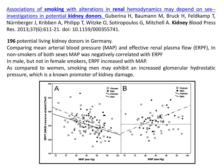Associations of **smoking** with alterations in **renal** [hemodynamics](https://www.ncbi.nlm.nih.gov/pubmed/24356551) may depend on sex- [investigations](https://www.ncbi.nlm.nih.gov/pubmed/24356551) in potential **kidney donors**. Guberina H, Baumann M, Bruck H, Feldkamp T, Nürnberger J, Kribben A, Philipp T, Witzke O, Sotiropoulos G, Mitchell A. **Kidney** Blood Press Res. 2013;37(6):611-21. doi: 10.1159/000355741.

**196** potential living kidney donors in Germany.

Comparing mean arterial blood pressure (MAP) and effective renal plasma flow (ERPF), In non-smokers of both sexes MAP was negatively correlated with ERPF

In male, but not in female smokers, ERPF increased with MAP.

As compared to women, smoking men may exhibit an increased glomerular hydrostatic pressure, which is a known promoter of kidney damage.

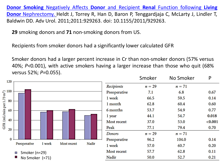**Donor Smoking** [Negatively](https://www.ncbi.nlm.nih.gov/pubmed/21912540) Affects **Donor** and Recipient **Renal** Function following **Living Donor** [Nephrectomy.](https://www.ncbi.nlm.nih.gov/pubmed/21912540) Heldt J, Torrey R, Han D, Baron P, Tenggardjaja C, McLarty J, Lindler T, Baldwin DD. Adv Urol. 2011;2011:929263. doi: 10.1155/2011/929263.

**29** smoking donors and **71** non-smoking donors from US.

Recipients from smoker donors had a significantly lower calculated GFR

Smoker donors had a larger percent increase in Cr than non-smoker donors (57% versus 40%; *P<*0*.*001), with active smokers having a larger increase than those who quit (68% versus 52%; *P=*0*.*055).